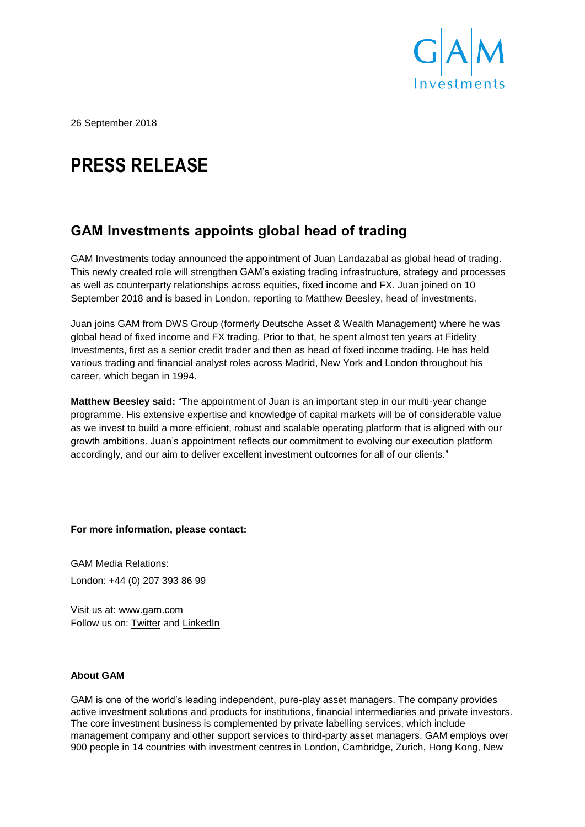

26 September 2018

## **PRESS RELEASE**

## **GAM Investments appoints global head of trading**

GAM Investments today announced the appointment of Juan Landazabal as global head of trading. This newly created role will strengthen GAM's existing trading infrastructure, strategy and processes as well as counterparty relationships across equities, fixed income and FX. Juan joined on 10 September 2018 and is based in London, reporting to Matthew Beesley, head of investments.

Juan joins GAM from DWS Group (formerly Deutsche Asset & Wealth Management) where he was global head of fixed income and FX trading. Prior to that, he spent almost ten years at Fidelity Investments, first as a senior credit trader and then as head of fixed income trading. He has held various trading and financial analyst roles across Madrid, New York and London throughout his career, which began in 1994.

**Matthew Beesley said:** "The appointment of Juan is an important step in our multi-year change programme. His extensive expertise and knowledge of capital markets will be of considerable value as we invest to build a more efficient, robust and scalable operating platform that is aligned with our growth ambitions. Juan's appointment reflects our commitment to evolving our execution platform accordingly, and our aim to deliver excellent investment outcomes for all of our clients."

**For more information, please contact:** 

GAM Media Relations: London: +44 (0) 207 393 86 99

Visit us at: [www.gam.com](http://www.gam.com/) Follow us on: [Twitter](https://twitter.com/gaminsights) and [LinkedIn](https://www.linkedin.com/company/gam?trk=company_logo)

## **About GAM**

GAM is one of the world's leading independent, pure-play asset managers. The company provides active investment solutions and products for institutions, financial intermediaries and private investors. The core investment business is complemented by private labelling services, which include management company and other support services to third-party asset managers. GAM employs over 900 people in 14 countries with investment centres in London, Cambridge, Zurich, Hong Kong, New